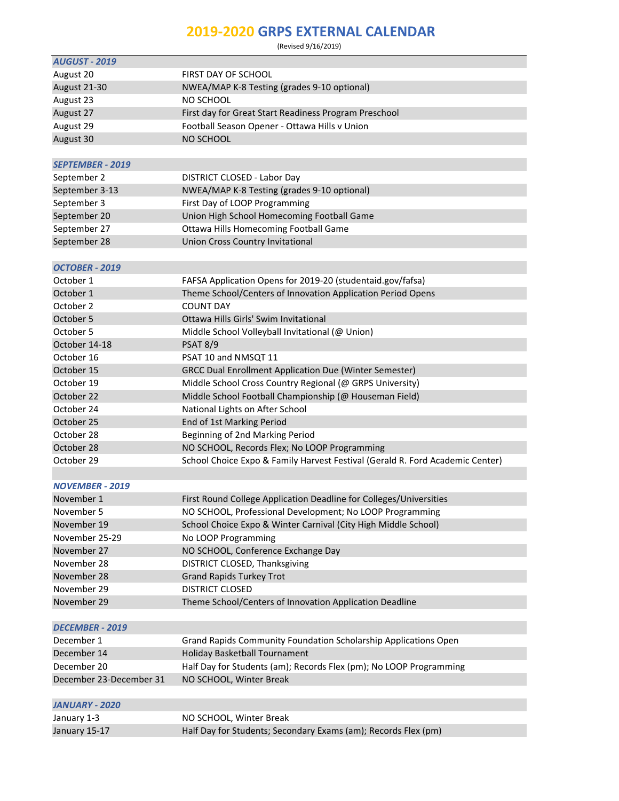## **2019-2020 GRPS EXTERNAL CALENDAR**

(Revised 9/16/2019)

| <b>AUGUST - 2019</b>    |                                                                               |
|-------------------------|-------------------------------------------------------------------------------|
| August 20               | FIRST DAY OF SCHOOL                                                           |
| August 21-30            | NWEA/MAP K-8 Testing (grades 9-10 optional)                                   |
| August 23               | NO SCHOOL                                                                     |
| August 27               | First day for Great Start Readiness Program Preschool                         |
| August 29               | Football Season Opener - Ottawa Hills v Union                                 |
| August 30               | NO SCHOOL                                                                     |
|                         |                                                                               |
| <b>SEPTEMBER - 2019</b> |                                                                               |
| September 2             | DISTRICT CLOSED - Labor Day                                                   |
| September 3-13          | NWEA/MAP K-8 Testing (grades 9-10 optional)                                   |
| September 3             | First Day of LOOP Programming                                                 |
| September 20            | Union High School Homecoming Football Game                                    |
| September 27            | Ottawa Hills Homecoming Football Game                                         |
| September 28            | Union Cross Country Invitational                                              |
|                         |                                                                               |
| <b>OCTOBER - 2019</b>   |                                                                               |
| October 1               | FAFSA Application Opens for 2019-20 (studentaid.gov/fafsa)                    |
| October 1               | Theme School/Centers of Innovation Application Period Opens                   |
| October 2               | <b>COUNT DAY</b>                                                              |
| October 5               | Ottawa Hills Girls' Swim Invitational                                         |
| October 5               | Middle School Volleyball Invitational (@ Union)                               |
| October 14-18           | <b>PSAT 8/9</b>                                                               |
| October 16              | PSAT 10 and NMSQT 11                                                          |
| October 15              | <b>GRCC Dual Enrollment Application Due (Winter Semester)</b>                 |
| October 19              | Middle School Cross Country Regional (@ GRPS University)                      |
| October 22              | Middle School Football Championship (@ Houseman Field)                        |
| October 24              | National Lights on After School                                               |
| October 25              | End of 1st Marking Period                                                     |
| October 28              | Beginning of 2nd Marking Period                                               |
| October 28              | NO SCHOOL, Records Flex; No LOOP Programming                                  |
| October 29              | School Choice Expo & Family Harvest Festival (Gerald R. Ford Academic Center) |
|                         |                                                                               |
| <b>NOVEMBER - 2019</b>  |                                                                               |
| November 1              | First Round College Application Deadline for Colleges/Universities            |
| November 5              | NO SCHOOL, Professional Development; No LOOP Programming                      |
| November 19             | School Choice Expo & Winter Carnival (City High Middle School)                |
| November 25-29          | No LOOP Programming                                                           |
| November 27             | NO SCHOOL, Conference Exchange Day                                            |
| November 28             | DISTRICT CLOSED, Thanksgiving                                                 |
| November 28             | <b>Grand Rapids Turkey Trot</b>                                               |
| November 29             | <b>DISTRICT CLOSED</b>                                                        |
| November 29             | Theme School/Centers of Innovation Application Deadline                       |
|                         |                                                                               |
| <b>DECEMBER - 2019</b>  |                                                                               |
| December 1              | Grand Rapids Community Foundation Scholarship Applications Open               |
| December 14             | Holiday Basketball Tournament                                                 |
| December 20             | Half Day for Students (am); Records Flex (pm); No LOOP Programming            |
| December 23-December 31 | NO SCHOOL, Winter Break                                                       |
|                         |                                                                               |
| <b>JANUARY - 2020</b>   |                                                                               |
| January 1-3             | NO SCHOOL, Winter Break                                                       |
| January 15-17           | Half Day for Students; Secondary Exams (am); Records Flex (pm)                |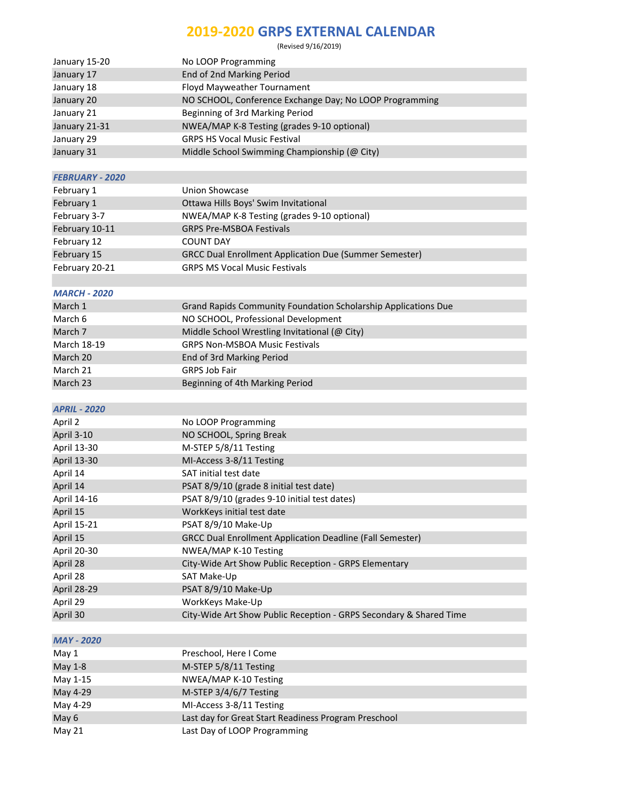## **2019-2020 GRPS EXTERNAL CALENDAR**

(Revised 9/16/2019)

| January 17<br>End of 2nd Marking Period<br>Floyd Mayweather Tournament<br>January 18<br>January 20<br>NO SCHOOL, Conference Exchange Day; No LOOP Programming<br>Beginning of 3rd Marking Period<br>January 21<br>NWEA/MAP K-8 Testing (grades 9-10 optional)<br>January 21-31<br><b>GRPS HS Vocal Music Festival</b><br>January 29<br>Middle School Swimming Championship (@ City)<br>January 31<br><b>FEBRUARY - 2020</b><br><b>Union Showcase</b><br>February 1<br>February 1<br>Ottawa Hills Boys' Swim Invitational<br>February 3-7<br>NWEA/MAP K-8 Testing (grades 9-10 optional)<br>February 10-11<br><b>GRPS Pre-MSBOA Festivals</b><br>February 12<br><b>COUNT DAY</b><br>February 15<br><b>GRCC Dual Enrollment Application Due (Summer Semester)</b><br>February 20-21<br><b>GRPS MS Vocal Music Festivals</b><br><b>MARCH - 2020</b><br>March 1<br>Grand Rapids Community Foundation Scholarship Applications Due<br>March 6<br>NO SCHOOL, Professional Development<br>Middle School Wrestling Invitational (@ City)<br>March 7<br>March 18-19<br><b>GRPS Non-MSBOA Music Festivals</b><br>March 20<br>End of 3rd Marking Period<br>March 21<br><b>GRPS Job Fair</b><br>March 23<br>Beginning of 4th Marking Period<br><b>APRIL - 2020</b><br>April 2<br>No LOOP Programming<br>April 3-10<br>NO SCHOOL, Spring Break<br>April 13-30<br>M-STEP 5/8/11 Testing<br>April 13-30<br>MI-Access 3-8/11 Testing<br>SAT initial test date<br>April 14<br>April 14<br>PSAT 8/9/10 (grade 8 initial test date)<br>PSAT 8/9/10 (grades 9-10 initial test dates)<br>April 14-16<br>April 15<br>WorkKeys initial test date<br>PSAT 8/9/10 Make-Up<br>April 15-21<br>April 15<br><b>GRCC Dual Enrollment Application Deadline (Fall Semester)</b><br>NWEA/MAP K-10 Testing<br>April 20-30<br>April 28<br>City-Wide Art Show Public Reception - GRPS Elementary<br>April 28<br>SAT Make-Up<br><b>April 28-29</b><br>PSAT 8/9/10 Make-Up<br>April 29<br>WorkKeys Make-Up<br>April 30<br>City-Wide Art Show Public Reception - GRPS Secondary & Shared Time<br><b>MAY - 2020</b><br>Preschool, Here I Come<br>May 1<br>May 1-8<br>M-STEP 5/8/11 Testing<br>NWEA/MAP K-10 Testing<br>May 1-15<br>May 4-29<br>M-STEP 3/4/6/7 Testing<br>May 4-29<br>MI-Access 3-8/11 Testing<br>Last day for Great Start Readiness Program Preschool<br>May 6<br>May 21<br>Last Day of LOOP Programming | January 15-20 | No LOOP Programming |
|----------------------------------------------------------------------------------------------------------------------------------------------------------------------------------------------------------------------------------------------------------------------------------------------------------------------------------------------------------------------------------------------------------------------------------------------------------------------------------------------------------------------------------------------------------------------------------------------------------------------------------------------------------------------------------------------------------------------------------------------------------------------------------------------------------------------------------------------------------------------------------------------------------------------------------------------------------------------------------------------------------------------------------------------------------------------------------------------------------------------------------------------------------------------------------------------------------------------------------------------------------------------------------------------------------------------------------------------------------------------------------------------------------------------------------------------------------------------------------------------------------------------------------------------------------------------------------------------------------------------------------------------------------------------------------------------------------------------------------------------------------------------------------------------------------------------------------------------------------------------------------------------------------------------------------------------------------------------------------------------------------------------------------------------------------------------------------------------------------------------------------------------------------------------------------------------------------------------------------------------------------------------------------------------------------------------------------------------------------------------------------|---------------|---------------------|
|                                                                                                                                                                                                                                                                                                                                                                                                                                                                                                                                                                                                                                                                                                                                                                                                                                                                                                                                                                                                                                                                                                                                                                                                                                                                                                                                                                                                                                                                                                                                                                                                                                                                                                                                                                                                                                                                                                                                                                                                                                                                                                                                                                                                                                                                                                                                                                                  |               |                     |
|                                                                                                                                                                                                                                                                                                                                                                                                                                                                                                                                                                                                                                                                                                                                                                                                                                                                                                                                                                                                                                                                                                                                                                                                                                                                                                                                                                                                                                                                                                                                                                                                                                                                                                                                                                                                                                                                                                                                                                                                                                                                                                                                                                                                                                                                                                                                                                                  |               |                     |
|                                                                                                                                                                                                                                                                                                                                                                                                                                                                                                                                                                                                                                                                                                                                                                                                                                                                                                                                                                                                                                                                                                                                                                                                                                                                                                                                                                                                                                                                                                                                                                                                                                                                                                                                                                                                                                                                                                                                                                                                                                                                                                                                                                                                                                                                                                                                                                                  |               |                     |
|                                                                                                                                                                                                                                                                                                                                                                                                                                                                                                                                                                                                                                                                                                                                                                                                                                                                                                                                                                                                                                                                                                                                                                                                                                                                                                                                                                                                                                                                                                                                                                                                                                                                                                                                                                                                                                                                                                                                                                                                                                                                                                                                                                                                                                                                                                                                                                                  |               |                     |
|                                                                                                                                                                                                                                                                                                                                                                                                                                                                                                                                                                                                                                                                                                                                                                                                                                                                                                                                                                                                                                                                                                                                                                                                                                                                                                                                                                                                                                                                                                                                                                                                                                                                                                                                                                                                                                                                                                                                                                                                                                                                                                                                                                                                                                                                                                                                                                                  |               |                     |
|                                                                                                                                                                                                                                                                                                                                                                                                                                                                                                                                                                                                                                                                                                                                                                                                                                                                                                                                                                                                                                                                                                                                                                                                                                                                                                                                                                                                                                                                                                                                                                                                                                                                                                                                                                                                                                                                                                                                                                                                                                                                                                                                                                                                                                                                                                                                                                                  |               |                     |
|                                                                                                                                                                                                                                                                                                                                                                                                                                                                                                                                                                                                                                                                                                                                                                                                                                                                                                                                                                                                                                                                                                                                                                                                                                                                                                                                                                                                                                                                                                                                                                                                                                                                                                                                                                                                                                                                                                                                                                                                                                                                                                                                                                                                                                                                                                                                                                                  |               |                     |
|                                                                                                                                                                                                                                                                                                                                                                                                                                                                                                                                                                                                                                                                                                                                                                                                                                                                                                                                                                                                                                                                                                                                                                                                                                                                                                                                                                                                                                                                                                                                                                                                                                                                                                                                                                                                                                                                                                                                                                                                                                                                                                                                                                                                                                                                                                                                                                                  |               |                     |
|                                                                                                                                                                                                                                                                                                                                                                                                                                                                                                                                                                                                                                                                                                                                                                                                                                                                                                                                                                                                                                                                                                                                                                                                                                                                                                                                                                                                                                                                                                                                                                                                                                                                                                                                                                                                                                                                                                                                                                                                                                                                                                                                                                                                                                                                                                                                                                                  |               |                     |
|                                                                                                                                                                                                                                                                                                                                                                                                                                                                                                                                                                                                                                                                                                                                                                                                                                                                                                                                                                                                                                                                                                                                                                                                                                                                                                                                                                                                                                                                                                                                                                                                                                                                                                                                                                                                                                                                                                                                                                                                                                                                                                                                                                                                                                                                                                                                                                                  |               |                     |
|                                                                                                                                                                                                                                                                                                                                                                                                                                                                                                                                                                                                                                                                                                                                                                                                                                                                                                                                                                                                                                                                                                                                                                                                                                                                                                                                                                                                                                                                                                                                                                                                                                                                                                                                                                                                                                                                                                                                                                                                                                                                                                                                                                                                                                                                                                                                                                                  |               |                     |
|                                                                                                                                                                                                                                                                                                                                                                                                                                                                                                                                                                                                                                                                                                                                                                                                                                                                                                                                                                                                                                                                                                                                                                                                                                                                                                                                                                                                                                                                                                                                                                                                                                                                                                                                                                                                                                                                                                                                                                                                                                                                                                                                                                                                                                                                                                                                                                                  |               |                     |
|                                                                                                                                                                                                                                                                                                                                                                                                                                                                                                                                                                                                                                                                                                                                                                                                                                                                                                                                                                                                                                                                                                                                                                                                                                                                                                                                                                                                                                                                                                                                                                                                                                                                                                                                                                                                                                                                                                                                                                                                                                                                                                                                                                                                                                                                                                                                                                                  |               |                     |
|                                                                                                                                                                                                                                                                                                                                                                                                                                                                                                                                                                                                                                                                                                                                                                                                                                                                                                                                                                                                                                                                                                                                                                                                                                                                                                                                                                                                                                                                                                                                                                                                                                                                                                                                                                                                                                                                                                                                                                                                                                                                                                                                                                                                                                                                                                                                                                                  |               |                     |
|                                                                                                                                                                                                                                                                                                                                                                                                                                                                                                                                                                                                                                                                                                                                                                                                                                                                                                                                                                                                                                                                                                                                                                                                                                                                                                                                                                                                                                                                                                                                                                                                                                                                                                                                                                                                                                                                                                                                                                                                                                                                                                                                                                                                                                                                                                                                                                                  |               |                     |
|                                                                                                                                                                                                                                                                                                                                                                                                                                                                                                                                                                                                                                                                                                                                                                                                                                                                                                                                                                                                                                                                                                                                                                                                                                                                                                                                                                                                                                                                                                                                                                                                                                                                                                                                                                                                                                                                                                                                                                                                                                                                                                                                                                                                                                                                                                                                                                                  |               |                     |
|                                                                                                                                                                                                                                                                                                                                                                                                                                                                                                                                                                                                                                                                                                                                                                                                                                                                                                                                                                                                                                                                                                                                                                                                                                                                                                                                                                                                                                                                                                                                                                                                                                                                                                                                                                                                                                                                                                                                                                                                                                                                                                                                                                                                                                                                                                                                                                                  |               |                     |
|                                                                                                                                                                                                                                                                                                                                                                                                                                                                                                                                                                                                                                                                                                                                                                                                                                                                                                                                                                                                                                                                                                                                                                                                                                                                                                                                                                                                                                                                                                                                                                                                                                                                                                                                                                                                                                                                                                                                                                                                                                                                                                                                                                                                                                                                                                                                                                                  |               |                     |
|                                                                                                                                                                                                                                                                                                                                                                                                                                                                                                                                                                                                                                                                                                                                                                                                                                                                                                                                                                                                                                                                                                                                                                                                                                                                                                                                                                                                                                                                                                                                                                                                                                                                                                                                                                                                                                                                                                                                                                                                                                                                                                                                                                                                                                                                                                                                                                                  |               |                     |
|                                                                                                                                                                                                                                                                                                                                                                                                                                                                                                                                                                                                                                                                                                                                                                                                                                                                                                                                                                                                                                                                                                                                                                                                                                                                                                                                                                                                                                                                                                                                                                                                                                                                                                                                                                                                                                                                                                                                                                                                                                                                                                                                                                                                                                                                                                                                                                                  |               |                     |
|                                                                                                                                                                                                                                                                                                                                                                                                                                                                                                                                                                                                                                                                                                                                                                                                                                                                                                                                                                                                                                                                                                                                                                                                                                                                                                                                                                                                                                                                                                                                                                                                                                                                                                                                                                                                                                                                                                                                                                                                                                                                                                                                                                                                                                                                                                                                                                                  |               |                     |
|                                                                                                                                                                                                                                                                                                                                                                                                                                                                                                                                                                                                                                                                                                                                                                                                                                                                                                                                                                                                                                                                                                                                                                                                                                                                                                                                                                                                                                                                                                                                                                                                                                                                                                                                                                                                                                                                                                                                                                                                                                                                                                                                                                                                                                                                                                                                                                                  |               |                     |
|                                                                                                                                                                                                                                                                                                                                                                                                                                                                                                                                                                                                                                                                                                                                                                                                                                                                                                                                                                                                                                                                                                                                                                                                                                                                                                                                                                                                                                                                                                                                                                                                                                                                                                                                                                                                                                                                                                                                                                                                                                                                                                                                                                                                                                                                                                                                                                                  |               |                     |
|                                                                                                                                                                                                                                                                                                                                                                                                                                                                                                                                                                                                                                                                                                                                                                                                                                                                                                                                                                                                                                                                                                                                                                                                                                                                                                                                                                                                                                                                                                                                                                                                                                                                                                                                                                                                                                                                                                                                                                                                                                                                                                                                                                                                                                                                                                                                                                                  |               |                     |
|                                                                                                                                                                                                                                                                                                                                                                                                                                                                                                                                                                                                                                                                                                                                                                                                                                                                                                                                                                                                                                                                                                                                                                                                                                                                                                                                                                                                                                                                                                                                                                                                                                                                                                                                                                                                                                                                                                                                                                                                                                                                                                                                                                                                                                                                                                                                                                                  |               |                     |
|                                                                                                                                                                                                                                                                                                                                                                                                                                                                                                                                                                                                                                                                                                                                                                                                                                                                                                                                                                                                                                                                                                                                                                                                                                                                                                                                                                                                                                                                                                                                                                                                                                                                                                                                                                                                                                                                                                                                                                                                                                                                                                                                                                                                                                                                                                                                                                                  |               |                     |
|                                                                                                                                                                                                                                                                                                                                                                                                                                                                                                                                                                                                                                                                                                                                                                                                                                                                                                                                                                                                                                                                                                                                                                                                                                                                                                                                                                                                                                                                                                                                                                                                                                                                                                                                                                                                                                                                                                                                                                                                                                                                                                                                                                                                                                                                                                                                                                                  |               |                     |
|                                                                                                                                                                                                                                                                                                                                                                                                                                                                                                                                                                                                                                                                                                                                                                                                                                                                                                                                                                                                                                                                                                                                                                                                                                                                                                                                                                                                                                                                                                                                                                                                                                                                                                                                                                                                                                                                                                                                                                                                                                                                                                                                                                                                                                                                                                                                                                                  |               |                     |
|                                                                                                                                                                                                                                                                                                                                                                                                                                                                                                                                                                                                                                                                                                                                                                                                                                                                                                                                                                                                                                                                                                                                                                                                                                                                                                                                                                                                                                                                                                                                                                                                                                                                                                                                                                                                                                                                                                                                                                                                                                                                                                                                                                                                                                                                                                                                                                                  |               |                     |
|                                                                                                                                                                                                                                                                                                                                                                                                                                                                                                                                                                                                                                                                                                                                                                                                                                                                                                                                                                                                                                                                                                                                                                                                                                                                                                                                                                                                                                                                                                                                                                                                                                                                                                                                                                                                                                                                                                                                                                                                                                                                                                                                                                                                                                                                                                                                                                                  |               |                     |
|                                                                                                                                                                                                                                                                                                                                                                                                                                                                                                                                                                                                                                                                                                                                                                                                                                                                                                                                                                                                                                                                                                                                                                                                                                                                                                                                                                                                                                                                                                                                                                                                                                                                                                                                                                                                                                                                                                                                                                                                                                                                                                                                                                                                                                                                                                                                                                                  |               |                     |
|                                                                                                                                                                                                                                                                                                                                                                                                                                                                                                                                                                                                                                                                                                                                                                                                                                                                                                                                                                                                                                                                                                                                                                                                                                                                                                                                                                                                                                                                                                                                                                                                                                                                                                                                                                                                                                                                                                                                                                                                                                                                                                                                                                                                                                                                                                                                                                                  |               |                     |
|                                                                                                                                                                                                                                                                                                                                                                                                                                                                                                                                                                                                                                                                                                                                                                                                                                                                                                                                                                                                                                                                                                                                                                                                                                                                                                                                                                                                                                                                                                                                                                                                                                                                                                                                                                                                                                                                                                                                                                                                                                                                                                                                                                                                                                                                                                                                                                                  |               |                     |
|                                                                                                                                                                                                                                                                                                                                                                                                                                                                                                                                                                                                                                                                                                                                                                                                                                                                                                                                                                                                                                                                                                                                                                                                                                                                                                                                                                                                                                                                                                                                                                                                                                                                                                                                                                                                                                                                                                                                                                                                                                                                                                                                                                                                                                                                                                                                                                                  |               |                     |
|                                                                                                                                                                                                                                                                                                                                                                                                                                                                                                                                                                                                                                                                                                                                                                                                                                                                                                                                                                                                                                                                                                                                                                                                                                                                                                                                                                                                                                                                                                                                                                                                                                                                                                                                                                                                                                                                                                                                                                                                                                                                                                                                                                                                                                                                                                                                                                                  |               |                     |
|                                                                                                                                                                                                                                                                                                                                                                                                                                                                                                                                                                                                                                                                                                                                                                                                                                                                                                                                                                                                                                                                                                                                                                                                                                                                                                                                                                                                                                                                                                                                                                                                                                                                                                                                                                                                                                                                                                                                                                                                                                                                                                                                                                                                                                                                                                                                                                                  |               |                     |
|                                                                                                                                                                                                                                                                                                                                                                                                                                                                                                                                                                                                                                                                                                                                                                                                                                                                                                                                                                                                                                                                                                                                                                                                                                                                                                                                                                                                                                                                                                                                                                                                                                                                                                                                                                                                                                                                                                                                                                                                                                                                                                                                                                                                                                                                                                                                                                                  |               |                     |
|                                                                                                                                                                                                                                                                                                                                                                                                                                                                                                                                                                                                                                                                                                                                                                                                                                                                                                                                                                                                                                                                                                                                                                                                                                                                                                                                                                                                                                                                                                                                                                                                                                                                                                                                                                                                                                                                                                                                                                                                                                                                                                                                                                                                                                                                                                                                                                                  |               |                     |
|                                                                                                                                                                                                                                                                                                                                                                                                                                                                                                                                                                                                                                                                                                                                                                                                                                                                                                                                                                                                                                                                                                                                                                                                                                                                                                                                                                                                                                                                                                                                                                                                                                                                                                                                                                                                                                                                                                                                                                                                                                                                                                                                                                                                                                                                                                                                                                                  |               |                     |
|                                                                                                                                                                                                                                                                                                                                                                                                                                                                                                                                                                                                                                                                                                                                                                                                                                                                                                                                                                                                                                                                                                                                                                                                                                                                                                                                                                                                                                                                                                                                                                                                                                                                                                                                                                                                                                                                                                                                                                                                                                                                                                                                                                                                                                                                                                                                                                                  |               |                     |
|                                                                                                                                                                                                                                                                                                                                                                                                                                                                                                                                                                                                                                                                                                                                                                                                                                                                                                                                                                                                                                                                                                                                                                                                                                                                                                                                                                                                                                                                                                                                                                                                                                                                                                                                                                                                                                                                                                                                                                                                                                                                                                                                                                                                                                                                                                                                                                                  |               |                     |
|                                                                                                                                                                                                                                                                                                                                                                                                                                                                                                                                                                                                                                                                                                                                                                                                                                                                                                                                                                                                                                                                                                                                                                                                                                                                                                                                                                                                                                                                                                                                                                                                                                                                                                                                                                                                                                                                                                                                                                                                                                                                                                                                                                                                                                                                                                                                                                                  |               |                     |
|                                                                                                                                                                                                                                                                                                                                                                                                                                                                                                                                                                                                                                                                                                                                                                                                                                                                                                                                                                                                                                                                                                                                                                                                                                                                                                                                                                                                                                                                                                                                                                                                                                                                                                                                                                                                                                                                                                                                                                                                                                                                                                                                                                                                                                                                                                                                                                                  |               |                     |
|                                                                                                                                                                                                                                                                                                                                                                                                                                                                                                                                                                                                                                                                                                                                                                                                                                                                                                                                                                                                                                                                                                                                                                                                                                                                                                                                                                                                                                                                                                                                                                                                                                                                                                                                                                                                                                                                                                                                                                                                                                                                                                                                                                                                                                                                                                                                                                                  |               |                     |
|                                                                                                                                                                                                                                                                                                                                                                                                                                                                                                                                                                                                                                                                                                                                                                                                                                                                                                                                                                                                                                                                                                                                                                                                                                                                                                                                                                                                                                                                                                                                                                                                                                                                                                                                                                                                                                                                                                                                                                                                                                                                                                                                                                                                                                                                                                                                                                                  |               |                     |
|                                                                                                                                                                                                                                                                                                                                                                                                                                                                                                                                                                                                                                                                                                                                                                                                                                                                                                                                                                                                                                                                                                                                                                                                                                                                                                                                                                                                                                                                                                                                                                                                                                                                                                                                                                                                                                                                                                                                                                                                                                                                                                                                                                                                                                                                                                                                                                                  |               |                     |
|                                                                                                                                                                                                                                                                                                                                                                                                                                                                                                                                                                                                                                                                                                                                                                                                                                                                                                                                                                                                                                                                                                                                                                                                                                                                                                                                                                                                                                                                                                                                                                                                                                                                                                                                                                                                                                                                                                                                                                                                                                                                                                                                                                                                                                                                                                                                                                                  |               |                     |
|                                                                                                                                                                                                                                                                                                                                                                                                                                                                                                                                                                                                                                                                                                                                                                                                                                                                                                                                                                                                                                                                                                                                                                                                                                                                                                                                                                                                                                                                                                                                                                                                                                                                                                                                                                                                                                                                                                                                                                                                                                                                                                                                                                                                                                                                                                                                                                                  |               |                     |
|                                                                                                                                                                                                                                                                                                                                                                                                                                                                                                                                                                                                                                                                                                                                                                                                                                                                                                                                                                                                                                                                                                                                                                                                                                                                                                                                                                                                                                                                                                                                                                                                                                                                                                                                                                                                                                                                                                                                                                                                                                                                                                                                                                                                                                                                                                                                                                                  |               |                     |
|                                                                                                                                                                                                                                                                                                                                                                                                                                                                                                                                                                                                                                                                                                                                                                                                                                                                                                                                                                                                                                                                                                                                                                                                                                                                                                                                                                                                                                                                                                                                                                                                                                                                                                                                                                                                                                                                                                                                                                                                                                                                                                                                                                                                                                                                                                                                                                                  |               |                     |
|                                                                                                                                                                                                                                                                                                                                                                                                                                                                                                                                                                                                                                                                                                                                                                                                                                                                                                                                                                                                                                                                                                                                                                                                                                                                                                                                                                                                                                                                                                                                                                                                                                                                                                                                                                                                                                                                                                                                                                                                                                                                                                                                                                                                                                                                                                                                                                                  |               |                     |
|                                                                                                                                                                                                                                                                                                                                                                                                                                                                                                                                                                                                                                                                                                                                                                                                                                                                                                                                                                                                                                                                                                                                                                                                                                                                                                                                                                                                                                                                                                                                                                                                                                                                                                                                                                                                                                                                                                                                                                                                                                                                                                                                                                                                                                                                                                                                                                                  |               |                     |